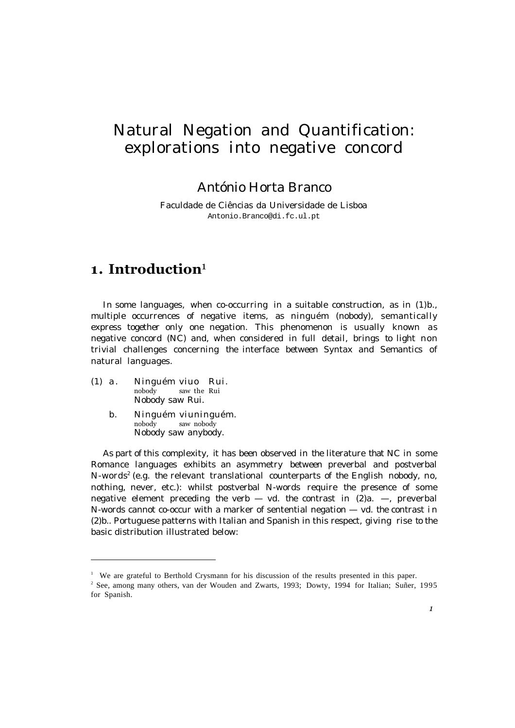# Natural Negation and Quantification: explorations into negative concord

#### António Horta Branco

Faculdade de Ciências da Universidade de Lisboa Antonio.Branco@di.fc.ul.pt

#### **1. Introduction**<sup>1</sup>

In some languages, when co-occurring in a suitable construction, as in (1)b., multiple occurrences of negative items, as ninguém (nobody), semantically express together only one negation. This phenomenon is usually known as negative concord (NC) and, when considered in full detail, brings to light non trivial challenges concerning the interface between Syntax and Semantics of natural languages.

(1) a. Ninguém viuo Rui. saw the Rui Nobody saw Rui.

 $\overline{a}$ 

b. Ninguém viuninguém. nobody saw nobody Nobody saw anybody.

As part of this complexity, it has been observed in the literature that NC in some Romance languages exhibits an asymmetry between preverbal and postverbal N-words<sup>2</sup> (e.g. the relevant translational counterparts of the English nobody, no, nothing, never, etc.): whilst postverbal N-words require the presence of some negative element preceding the verb  $-$  vd. the contrast in  $(2)a$ .  $-$ , preverbal N-words cannot co-occur with a marker of sentential negation — vd. the contrast i n (2)b.. Portuguese patterns with Italian and Spanish in this respect, giving rise to the basic distribution illustrated below:

<sup>&</sup>lt;sup>1</sup> We are grateful to Berthold Crysmann for his discussion of the results presented in this paper.

<sup>2</sup> See, among many others, van der Wouden and Zwarts, 1993; Dowty, 1994 for Italian; Suñer, 1995 for Spanish.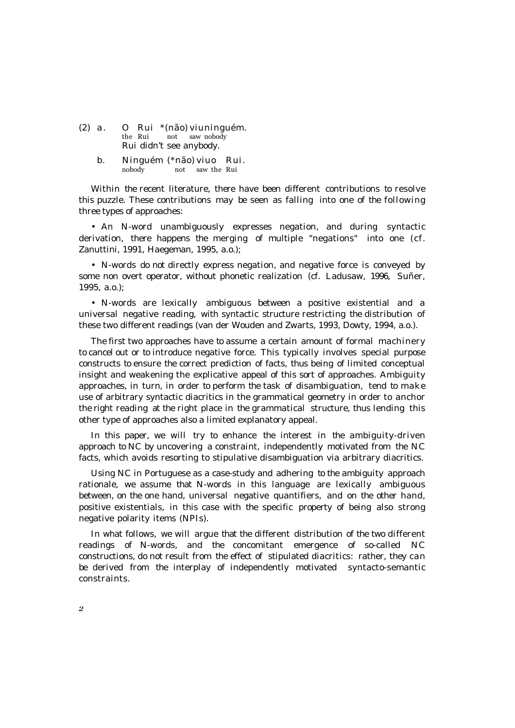- (2) a. O Rui  $*(n\tilde{a}o)$  viuninguém.<br>the Rui not saw nobody not saw nobody Rui didn't see anybody.
	- b. Ninguém (\*não) viuo Rui. nobody not saw the Rui

Within the recent literature, there have been different contributions to resolve this puzzle. These contributions may be seen as falling into one of the following three types of approaches:

• An N-word unambiguously expresses negation, and during syntactic derivation, there happens the merging of multiple "negations" into one (cf. Zanuttini, 1991, Haegeman, 1995, a.o.);

• N-words do not directly express negation, and negative force is conveyed by some non overt operator, without phonetic realization (cf. Ladusaw, 1996, Suñer, 1995, a.o.);

• N-words are lexically ambiguous between a positive existential and a universal negative reading, with syntactic structure restricting the distribution of these two different readings (van der Wouden and Zwarts, 1993, Dowty, 1994, a.o.).

The first two approaches have to assume a certain amount of formal machinery to cancel out or to introduce negative force. This typically involves special purpose constructs to ensure the correct prediction of facts, thus being of limited conceptual insight and weakening the explicative appeal of this sort of approaches. Ambiguity approaches, in turn, in order to perform the task of disambiguation, tend to make use of arbitrary syntactic diacritics in the grammatical geometry in order to anchor the right reading at the right place in the grammatical structure, thus lending this other type of approaches also a limited explanatory appeal.

In this paper, we will try to enhance the interest in the ambiguity-driven approach to NC by uncovering a constraint, independently motivated from the NC facts, which avoids resorting to stipulative disambiguation via arbitrary diacritics.

Using NC in Portuguese as a case-study and adhering to the ambiguity approach rationale, we assume that N-words in this language are lexically ambiguous between, on the one hand, universal negative quantifiers, and on the other hand, positive existentials, in this case with the specific property of being also strong negative polarity items (NPIs).

In what follows, we will argue that the different distribution of the two different readings of N-words, and the concomitant emergence of so-called NC constructions, do not result from the effect of stipulated diacritics: rather, they can be derived from the interplay of independently motivated syntacto-semantic constraints.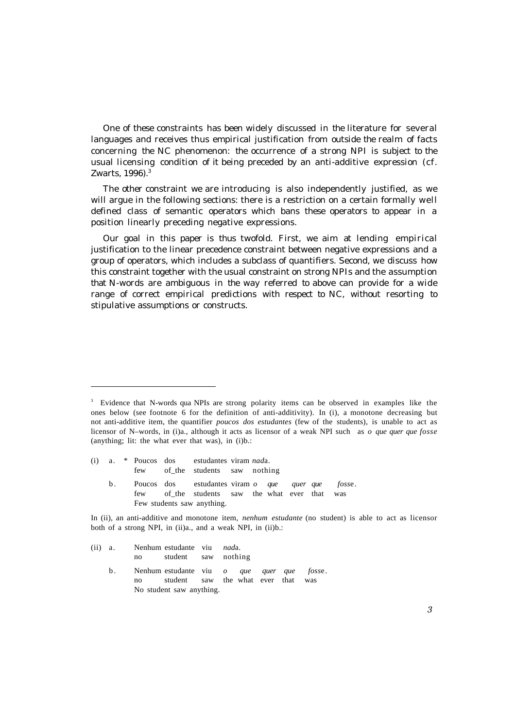One of these constraints has been widely discussed in the literature for several languages and receives thus empirical justification from outside the realm of facts concerning the NC phenomenon: the occurrence of a strong NPI is subject to the usual licensing condition of it being preceded by an anti-additive expression (cf. Zwarts, 1996).<sup>3</sup>

The other constraint we are introducing is also independently justified, as we will argue in the following sections: there is a restriction on a certain formally well defined class of semantic operators which bans these operators to appear in a position linearly preceding negative expressions.

Our goal in this paper is thus twofold. First, we aim at lending empirical justification to the linear precedence constraint between negative expressions and a group of operators, which includes a subclass of quantifiers. Second, we discuss how this constraint together with the usual constraint on strong NPIs and the assumption that N-words are ambiguous in the way referred to above can provide for a wide range of correct empirical predictions with respect to NC, without resorting to stipulative assumptions or constructs.

(i) a. \* Poucos dos estudantes viram *nad*a. few of\_the students saw nothing b . Poucos dos estudantes viram *o que quer que foss*e. few of\_the students saw the what ever that was Few students saw anything.

In (ii), an anti-additive and monotone item, *nenhum estudante* (no student) is able to act as licensor both of a strong NPI, in (ii)a., and a weak NPI, in (ii)b.:

(ii) a. Nenhum estudante viu *nad*a. no student saw nothing

 $\overline{a}$ 

b . Nenhum estudante viu *o que quer que foss*e. no student saw the what ever that was No student saw anything.

<sup>&</sup>lt;sup>3</sup> Evidence that N-words qua NPIs are strong polarity items can be observed in examples like the ones below (see footnote 6 for the definition of anti-additivity). In (i), a monotone decreasing but not anti-additive item, the quantifier *poucos dos estudantes* (few of the students), is unable to act as licensor of N–words, in (i)a., although it acts as licensor of a weak NPI such as *o que quer que fosse* (anything; lit: the what ever that was), in (i)b.: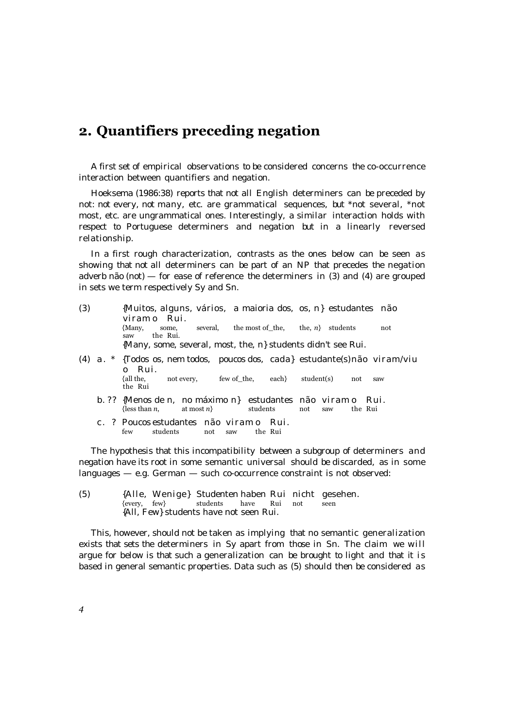### **2. Quantifiers preceding negation**

A first set of empirical observations to be considered concerns the co-occurrence interaction between quantifiers and negation.

Hoeksema (1986:38) reports that not all English determiners can be preceded by not: not every, not many, etc. are grammatical sequences, but \*not several, \*not most, etc. are ungrammatical ones. Interestingly, a similar interaction holds with respect to Portuguese determiners and negation but in a linearly reversed relationship.

In a first rough characterization, contrasts as the ones below can be seen as showing that not all determiners can be part of an NP that precedes the negation adverb não (not) — for ease of reference the determiners in (3) and (4) are grouped in sets we term respectively Sy and Sn.

| (3)      | {Muitos, alguns, vários, a maioria dos, os, n} estudantes não<br>viramo Rui.                                                                 |
|----------|----------------------------------------------------------------------------------------------------------------------------------------------|
|          | the most of the, the, $n$ } students<br>{Many,<br>several,<br>not<br>some.<br>the Rui.<br>saw                                                |
|          | {Many, some, several, most, the, n} students didn't see Rui.                                                                                 |
| $(4)$ a. | * {Todos os, nem todos, poucos dos, cada} estudante(s) não viram/viu<br>Rui.<br>$\Omega$                                                     |
|          | not every, few of the, each student(s)<br>{all the,<br>not<br>saw<br>the Rui                                                                 |
|          | b. ?? {Menos de n, no máximo n} estudantes não viram o Rui.<br>{less than <i>n</i> , at most <i>n</i> }<br>students<br>the Rui<br>not<br>saw |
|          | c. ? Poucos estudantes não viramo Rui.<br>students not saw the Rui<br>few                                                                    |

The hypothesis that this incompatibility between a subgroup of determiners and negation have its root in some semantic universal should be discarded, as in some languages  $-$  e.g. German  $-$  such co-occurrence constraint is not observed:

(5) {Alle, Wenige} Studenten haben Rui nicht gesehen. {every, few} students have Rui not seen {All, Few} students have not seen Rui.

This, however, should not be taken as implying that no semantic generalization exists that sets the determiners in Sy apart from those in Sn. The claim we will argue for below is that such a generalization can be brought to light and that it is based in general semantic properties. Data such as (5) should then be considered as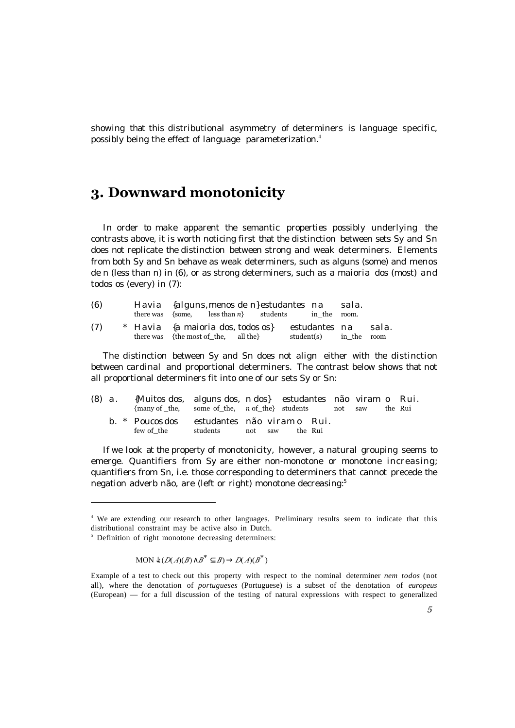showing that this distributional asymmetry of determiners is language specific, possibly being the effect of language parameterization.<sup>4</sup>

### **3. Downward monotonicity**

In order to make apparent the semantic properties possibly underlying the contrasts above, it is worth noticing first that the distinction between sets Sy and Sn does not replicate the distinction between strong and weak determiners. Elements from both Sy and Sn behave as weak determiners, such as alguns (some) and menos de n (less than n) in (6), or as strong determiners, such as a maioria dos (most) and todos os (every) in (7):

| (6) |  | Havia {alguns, menos de n} estudantes na<br>there was {some, less than $n$ } students in the room. |                                         | sala. |         |
|-----|--|----------------------------------------------------------------------------------------------------|-----------------------------------------|-------|---------|
| (7) |  | * Havia {a maioria dos, todos os}<br>there was {the most of the, all the}                          | estudantes na<br>student(s) in the room |       | - sala. |

The distinction between Sy and Sn does not align either with the distinction between cardinal and proportional determiners. The contrast below shows that not all proportional determiners fit into one of our sets Sy or Sn:

| $(8)$ a. |  | {Muitos dos, alguns dos, n dos} estudantes não viram o Rui.<br>$\{$ many of the, some of the, <i>n</i> of the students not saw |                  |         |  | the Rui |
|----------|--|--------------------------------------------------------------------------------------------------------------------------------|------------------|---------|--|---------|
|          |  | b. * Poucos dos estudantes não viram o Rui.<br>few of the                                                                      | students not saw | the Rui |  |         |

If we look at the property of monotonicity, however, a natural grouping seems to emerge. Quantifiers from Sy are either non-monotone or monotone increasing; quantifiers from Sn, i.e. those corresponding to determiners that cannot precede the negation adverb não, are (left or right) monotone decreasing:<sup>5</sup>

 $\overline{a}$ 

 $MON \downarrow (D(A)(B) \wedge B^* \subseteq B) \rightarrow D(A)(B^*)$ 

<sup>4</sup> We are extending our research to other languages. Preliminary results seem to indicate that this distributional constraint may be active also in Dutch.

<sup>&</sup>lt;sup>5</sup> Definition of right monotone decreasing determiners:

Example of a test to check out this property with respect to the nominal determiner *nem todos* (not all), where the denotation of *portugueses* (Portuguese) is a subset of the denotation of *europeus* (European) — for a full discussion of the testing of natural expressions with respect to generalized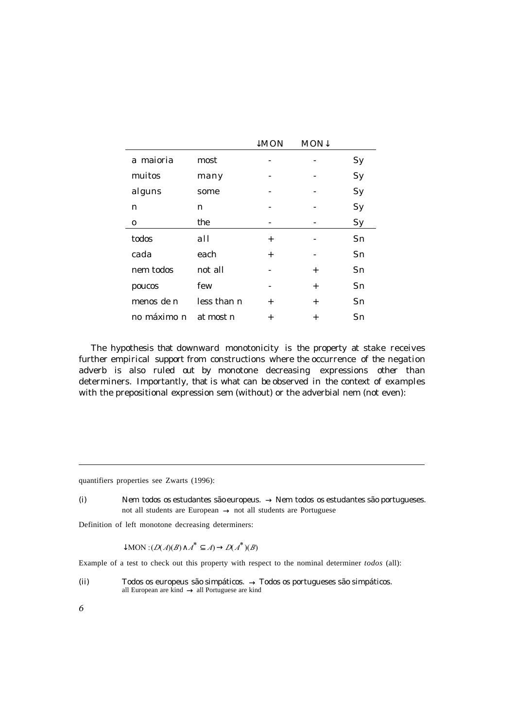|             |             | $\downarrow$ MON | $MON\downarrow$ |         |
|-------------|-------------|------------------|-----------------|---------|
| a maioria   | most        |                  |                 | Sy      |
| muitos      | many        |                  |                 | Sy      |
| alguns      | some        |                  |                 | Sy      |
| n           | n           |                  |                 | Sy      |
| 0           | the         |                  |                 | Sy      |
| todos       | all         | $\ddot{}$        |                 | Sn      |
| cada        | each        | $\ddot{}$        |                 | Sn      |
| nem todos   | not all     |                  | $\ddot{}$       | Sn      |
| poucos      | few         |                  | $^{+}$          | $S_{n}$ |
| menos de n  | less than n | $^{+}$           | $\ddot{}$       | Sn      |
| no máximo n | at most n   | $\ddot{}$        | $^{+}$          | Sn      |

The hypothesis that downward monotonicity is the property at stake receives further empirical support from constructions where the occurrence of the negation adverb is also ruled out by monotone decreasing expressions other than determiners. Importantly, that is what can be observed in the context of examples with the prepositional expression sem (without) or the adverbial nem (not even):

quantifiers properties see Zwarts (1996):

(i) Nem todos os estudantes são europeus.  $\rightarrow$  Nem todos os estudantes são portugueses. not all students are European  $\rightarrow$  not all students are Portuguese

Definition of left monotone decreasing determiners:

 $\downarrow$ MON : $(D(A)(B) \wedge A^* \subseteq A) \rightarrow D(A^*) (B)$ 

Example of a test to check out this property with respect to the nominal determiner *todos* (all):

(ii) Todos os europeus são simpáticos.  $\rightarrow$  Todos os portugueses são simpáticos. all European are kind  $\rightarrow$  all Portuguese are kind

*6*

 $\overline{a}$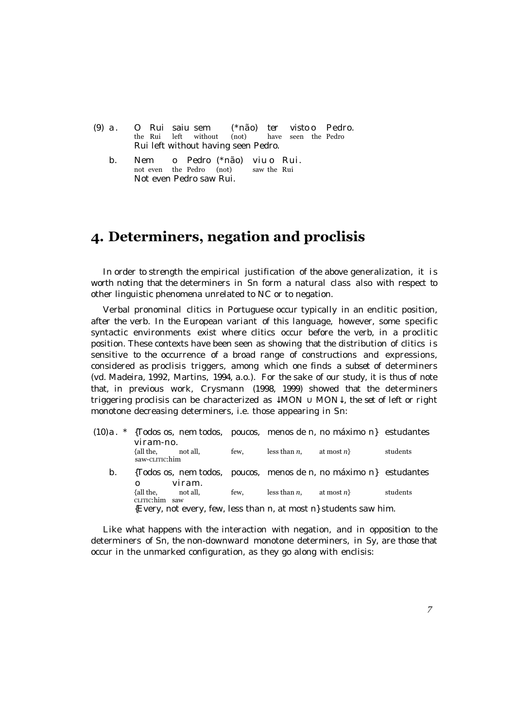- (9) a . O Rui saiu sem  $(*n\tilde{a}o)$  ter visto o Pedro.<br>the Rui left without (not) have seen the Pedro the Rui left without (not) Rui left without having seen Pedro.
	- b. Nem o Pedro (\*não) viu o Rui. not even the Pedro (not) saw the Rui Not even Pedro saw Rui.

### **4. Determiners, negation and proclisis**

In order to strength the empirical justification of the above generalization, it is worth noting that the determiners in Sn form a natural class also with respect to other linguistic phenomena unrelated to NC or to negation.

Verbal pronominal clitics in Portuguese occur typically in an enclitic position, after the verb. In the European variant of this language, however, some specific syntactic environments exist where clitics occur before the verb, in a proclitic position. These contexts have been seen as showing that the distribution of clitics is sensitive to the occurrence of a broad range of constructions and expressions, considered as proclisis triggers, among which one finds a subset of determiners (vd. Madeira, 1992, Martins, 1994, a.o.). For the sake of our study, it is thus of note that, in previous work, Crysmann (1998, 1999) showed that the determiners triggering proclisis can be characterized as  $\downarrow$ MON  $\cup$  MON $\downarrow$ , the set of left or right monotone decreasing determiners, i.e. those appearing in Sn:

| $(10)a$ . | * {Todos os, nem todos, poucos, menos de n, no máximo n} estudantes<br>viram-no.                                           |      |                 |             |          |
|-----------|----------------------------------------------------------------------------------------------------------------------------|------|-----------------|-------------|----------|
|           | $\{all the, \qquad not all,$<br>saw-clitric:him                                                                            | few, | less than $n$ , | at most $n$ | students |
| b.        | $\{Todos os, nem todos, poucos, menos de n, no máxima n\}$ estudantes                                                      |      |                 |             |          |
|           | viram.<br>${all the,$<br>not all,<br>CLITIC:him saw<br>${Every, not every, few, less than n, at most n} students saw him.$ | few, | less than $n$ , | at most $n$ | students |

Like what happens with the interaction with negation, and in opposition to the determiners of Sn, the non-downward monotone determiners, in Sy, are those that occur in the unmarked configuration, as they go along with enclisis: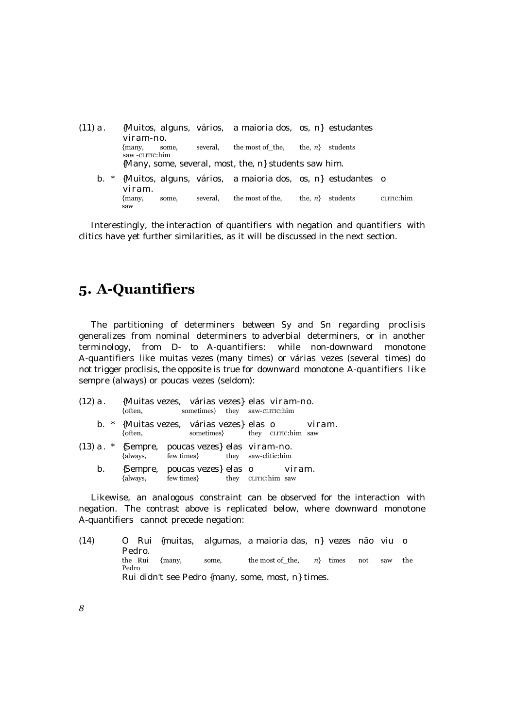(11) a . {Muitos, alguns, vários, a maioria dos, os, n} estudantes viram-no.<br>{many, so: some, several, the most of\_the, the, *n*} students saw -cLITIC:him {Many, some, several, most, the, n} students saw him. b. \* {Muitos, alguns, vários, a maioria dos, os, n} estudantes o viram. {many, some, several, the most of the, the, *n*} students CLITIC:him

Interestingly, the interaction of quantifiers with negation and quantifiers with clitics have yet further similarities, as it will be discussed in the next section.

### **5. A-Quantifiers**

saw

The partitioning of determiners between Sy and Sn regarding proclisis generalizes from nominal determiners to adverbial determiners, or in another terminology, from D- to A-quantifiers: while non-downward monotone A-quantifiers like muitas vezes (many times) or várias vezes (several times) do not trigger proclisis, the opposite is true for downward monotone A-quantifiers like sempre (always) or poucas vezes (seldom):

|    | {often, | (12) a. {Muitas vezes, várias vezes} elas viram-no.<br>sometimes between the saw-curric: him |  |                                       |  |
|----|---------|----------------------------------------------------------------------------------------------|--|---------------------------------------|--|
|    | {often, | b. * {Muitas vezes, várias vezes} elas o viram.                                              |  | sometimes between the curric: him saw |  |
|    |         | $(13)$ a. * {Sempre, poucas vezes} elas viram-no.<br>{always, few times} they saw-clitic:him |  |                                       |  |
| b. |         | {Sempre, poucas vezes} elas o viram.<br>{always, few times} they curric:him saw              |  |                                       |  |

Likewise, an analogous constraint can be observed for the interaction with negation. The contrast above is replicated below, where downward monotone A-quantifiers cannot precede negation:

(14) O Rui {muitas, algumas, a maioria das, n} vezes não viu o Pedro. the Rui  $\{$ many, some, the most of the,  $n\}$  times not saw the Pedro Rui didn't see Pedro {many, some, most, n} times.

*8*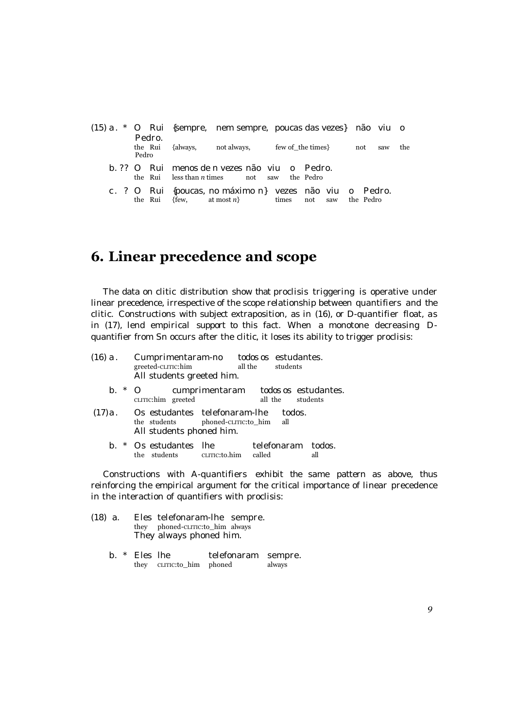|                            |          | (15) a. * O Rui {sempre, nem sempre, poucas das vezes} não viu o                               |                  |               |     |     |
|----------------------------|----------|------------------------------------------------------------------------------------------------|------------------|---------------|-----|-----|
| Pedro.<br>the Rui<br>Pedro | {always, | not always,                                                                                    | few of the times | not           | saw | the |
|                            |          | b. ?? O Rui menos de n vezes não viu o Pedro.<br>the Rui less than $n$ times not saw the Pedro |                  |               |     |     |
|                            |          | c. ? O Rui {poucas, no máximo n} vezes não viu o Pedro.<br>the Rui ${few$ , at most $n$ times  | not              | saw the Pedro |     |     |

## **6. Linear precedence and scope**

The data on clitic distribution show that proclisis triggering is operative under linear precedence, irrespective of the scope relationship between quantifiers and the clitic. Constructions with subject extraposition, as in (16), or D-quantifier float, as in (17), lend empirical support to this fact. When a monotone decreasing Dquantifier from Sn occurs after the clitic, it loses its ability to trigger proclisis:

| (16) a.        | Cumprimentaram-no todos os estudantes.<br>greeted-curric:him<br>all the students<br>All students greeted him. |
|----------------|---------------------------------------------------------------------------------------------------------------|
|                | b. * O cumprimentaram todos os estudantes.<br>CLITIC:him greeted<br>all the students                          |
| (17)a.         | Os estudantes telefonaram-lhe todos.<br>the students bhoned-curric: to him all<br>All students phoned him.    |
| $\mathbf{b}$ . | telefonaram todos.<br>* Os estudantes lhe<br>the students curric: to.him called<br>all                        |
|                |                                                                                                               |

Constructions with A-quantifiers exhibit the same pattern as above, thus reinforcing the empirical argument for the critical importance of linear precedence in the interaction of quantifiers with proclisis:

|  | (18) a. Eles telefonaram-lhe sempre. |  |
|--|--------------------------------------|--|
|  | they phoned-clifficito him always    |  |
|  | They always phoned him.              |  |

|  | b. * Eles lhe |                            | telefonaram sempre. |        |
|--|---------------|----------------------------|---------------------|--------|
|  |               | they CLITIC: to him phoned |                     | always |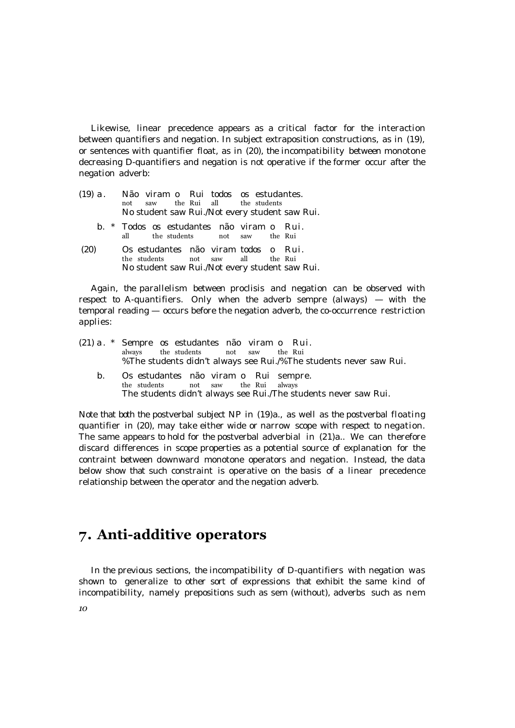Likewise, linear precedence appears as a critical factor for the interaction between quantifiers and negation. In subject extraposition constructions, as in (19), or sentences with quantifier float, as in (20), the incompatibility between monotone decreasing D-quantifiers and negation is not operative if the former occur after the negation adverb:

| (19) a. | Não viram o Rui todos os estudantes.<br>not saw the Rui all the students                                                   |
|---------|----------------------------------------------------------------------------------------------------------------------------|
|         | No student saw Rui./Not every student saw Rui.                                                                             |
|         | b. * Todos os estudantes não viram o Rui.<br>all the students not saw the Rui                                              |
| (20)    | Os estudantes não viram todos o Rui.<br>the students not saw all the Rui<br>No student saw Rui./Not every student saw Rui. |

Again, the parallelism between proclisis and negation can be observed with respect to A-quantifiers. Only when the adverb sempre (always) — with the temporal reading — occurs before the negation adverb, the co-occurrence restriction applies:

|                | (21) a. * Sempre os estudantes não viram o Rui.<br>always the students not saw the Rui<br>%The students didn't always see Rui./%The students never saw Rui. |
|----------------|-------------------------------------------------------------------------------------------------------------------------------------------------------------|
| $\mathbf{b}$ . | Os estudantes não viram o Rui sempre.<br>the students on the Rui always<br>The students didn't always see Rui./The students never saw Rui.                  |

Note that both the postverbal subject NP in (19)a., as well as the postverbal floating quantifier in (20), may take either wide or narrow scope with respect to negation. The same appears to hold for the postverbal adverbial in (21)a.. We can therefore discard differences in scope properties as a potential source of explanation for the contraint between downward monotone operators and negation. Instead, the data below show that such constraint is operative on the basis of a linear precedence relationship between the operator and the negation adverb.

#### **7. Anti-additive operators**

In the previous sections, the incompatibility of D-quantifiers with negation was shown to generalize to other sort of expressions that exhibit the same kind of incompatibility, namely prepositions such as sem (without), adverbs such as nem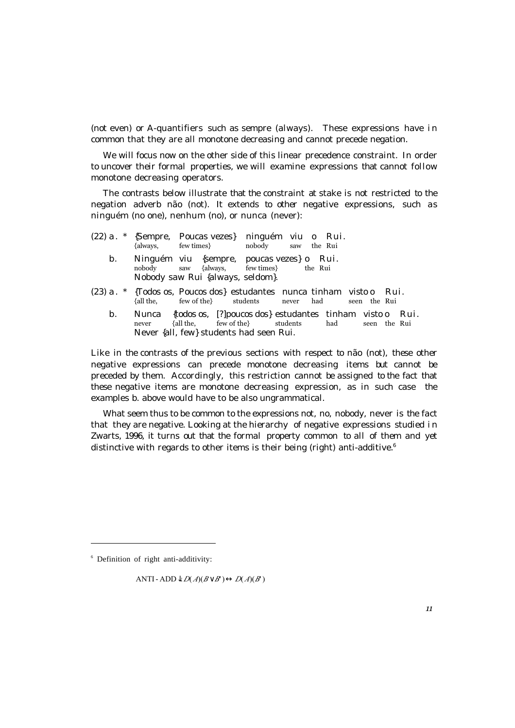(not even) or A-quantifiers such as sempre (always). These expressions have in common that they are all monotone decreasing and cannot precede negation.

We will focus now on the other side of this linear precedence constraint. In order to uncover their formal properties, we will examine expressions that cannot follow monotone decreasing operators.

The contrasts below illustrate that the constraint at stake is not restricted to the negation adverb não (not). It extends to other negative expressions, such as ninguém (no one), nenhum (no), or nunca (never):

|    | {always, few times}                                                | (22) a. * {Sempre, Poucas vezes} ninguém viu o Rui.<br>nobody<br>saw the Rui |  |
|----|--------------------------------------------------------------------|------------------------------------------------------------------------------|--|
| b. | nobody saw {always, few times}<br>Nobody saw Rui {always, seldom}. | Ninguém viu {sempre, poucas vezes} o Rui.<br>the Rui                         |  |
|    |                                                                    | (23) a. * {Todos os, Poucos dos} estudantes nunca tinham visto o Rui.        |  |

- {all the, few of the} students never had seen the Rui
	- b. Nunca {todos os, [?]poucos dos} estudantes tinham visto o Rui. never {all the, few of the} students had seen the Rui Never {all, few} students had seen Rui.

Like in the contrasts of the previous sections with respect to não (not), these other negative expressions can precede monotone decreasing items but cannot be preceded by them. Accordingly, this restriction cannot be assigned to the fact that these negative items are monotone decreasing expression, as in such case the examples b. above would have to be also ungrammatical.

What seem thus to be common to the expressions not, no, nobody, never is the fact that they are negative. Looking at the hierarchy of negative expressions studied i n Zwarts, 1996, it turns out that the formal property common to all of them and yet distinctive with regards to other items is their being (right) anti-additive.<sup>6</sup>

 $\overline{a}$ 

<sup>6</sup> Definition of right anti-additivity:

ANTI - ADD $\downarrow : D(A)(B \vee B') \leftrightarrow D(A)(B')$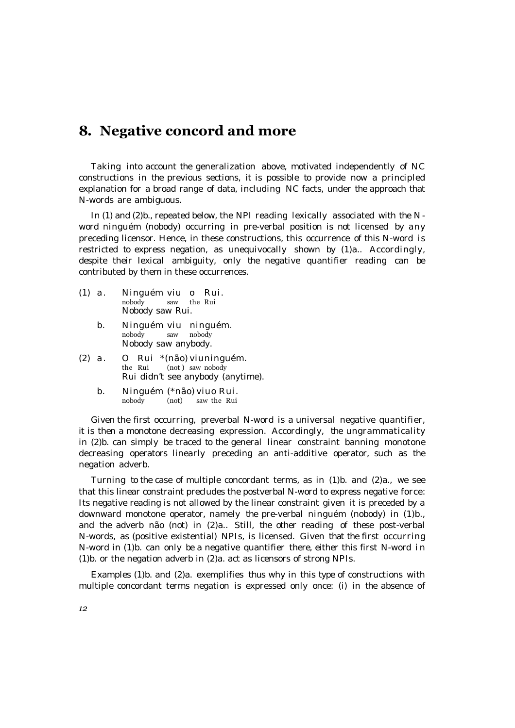### **8. Negative concord and more**

Taking into account the generalization above, motivated independently of NC constructions in the previous sections, it is possible to provide now a principled explanation for a broad range of data, including NC facts, under the approach that N-words are ambiguous.

In (1) and (2)b., repeated below, the NPI reading lexically associated with the N word ninguém (nobody) occurring in pre-verbal position is not licensed by any preceding licensor. Hence, in these constructions, this occurrence of this N-word is restricted to express negation, as unequivocally shown by (1)a.. Accordingly, despite their lexical ambiguity, only the negative quantifier reading can be contributed by them in these occurrences.

- (1) a. Ninguém viu o Rui. saw the Rui Nobody saw Rui.
	- b. Ninguém viu ninguém. nobody saw nobody Nobody saw anybody.
- (2) a. O Rui \*(não) viuninguém.  $(not)$  saw nobody Rui didn't see anybody (anytime).
	- b. Ninguém (\*não) viuo Rui.<br>nobody (not) saw the Rui saw the Rui

Given the first occurring, preverbal N-word is a universal negative quantifier, it is then a monotone decreasing expression. Accordingly, the ungrammaticality in (2)b. can simply be traced to the general linear constraint banning monotone decreasing operators linearly preceding an anti-additive operator, such as the negation adverb.

Turning to the case of multiple concordant terms, as in (1)b. and (2)a., we see that this linear constraint precludes the postverbal N-word to express negative force: Its negative reading is not allowed by the linear constraint given it is preceded by a downward monotone operator, namely the pre-verbal ninguém (nobody) in (1)b., and the adverb não (not) in (2)a.. Still, the other reading of these post-verbal N-words, as (positive existential) NPIs, is licensed. Given that the first occurring N-word in (1)b. can only be a negative quantifier there, either this first N-word i n (1)b. or the negation adverb in (2)a. act as licensors of strong NPIs.

Examples (1)b. and (2)a. exemplifies thus why in this type of constructions with multiple concordant terms negation is expressed only once: (i) in the absence of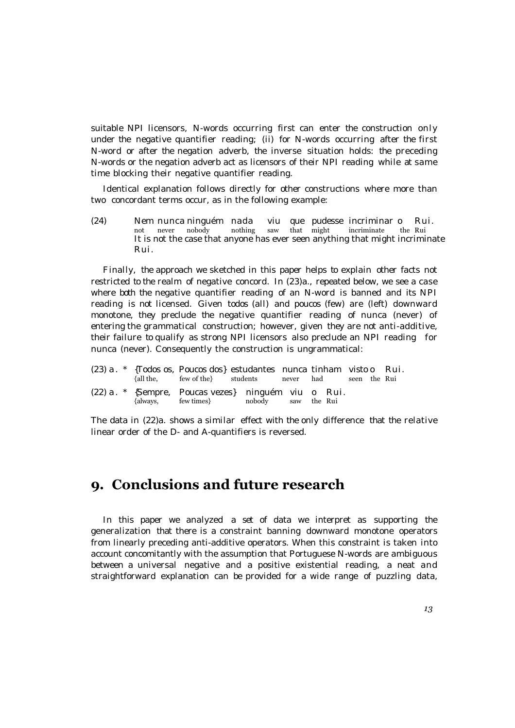suitable NPI licensors, N-words occurring first can enter the construction only under the negative quantifier reading; (ii) for N-words occurring after the first N-word or after the negation adverb, the inverse situation holds: the preceding N-words or the negation adverb act as licensors of their NPI reading while at same time blocking their negative quantifier reading.

Identical explanation follows directly for other constructions where more than two concordant terms occur, as in the following example:

(24) Nem nunca ninguém nada viu que pudesse incriminar o Rui. not never nobody nothing saw that might incriminate the Rui It is not the case that anyone has ever seen anything that might incriminate Rui.

Finally, the approach we sketched in this paper helps to explain other facts not restricted to the realm of negative concord. In (23)a., repeated below, we see a case where both the negative quantifier reading of an N-word is banned and its NPI reading is not licensed. Given todos (all) and poucos (few) are (left) downward monotone, they preclude the negative quantifier reading of nunca (never) of entering the grammatical construction; however, given they are not anti-additive, their failure to qualify as strong NPI licensors also preclude an NPI reading for nunca (never). Consequently the construction is ungrammatical:

|  |          |                                                                   | (23) a. * {Todos os, Poucos dos} estudantes nunca tinham visto o Rui.<br>{all the, few of the students never had seen the Rui |                    |  |  |  |  |
|--|----------|-------------------------------------------------------------------|-------------------------------------------------------------------------------------------------------------------------------|--------------------|--|--|--|--|
|  | {always, | (22) a. * {Sempre, Poucas vezes} ninguém viu o Rui.<br>few times} |                                                                                                                               | nobody saw the Rui |  |  |  |  |

The data in (22)a. shows a similar effect with the only difference that the relative linear order of the D- and A-quantifiers is reversed.

#### **9. Conclusions and future research**

In this paper we analyzed a set of data we interpret as supporting the generalization that there is a constraint banning downward monotone operators from linearly preceding anti-additive operators. When this constraint is taken into account concomitantly with the assumption that Portuguese N-words are ambiguous between a universal negative and a positive existential reading, a neat and straightforward explanation can be provided for a wide range of puzzling data,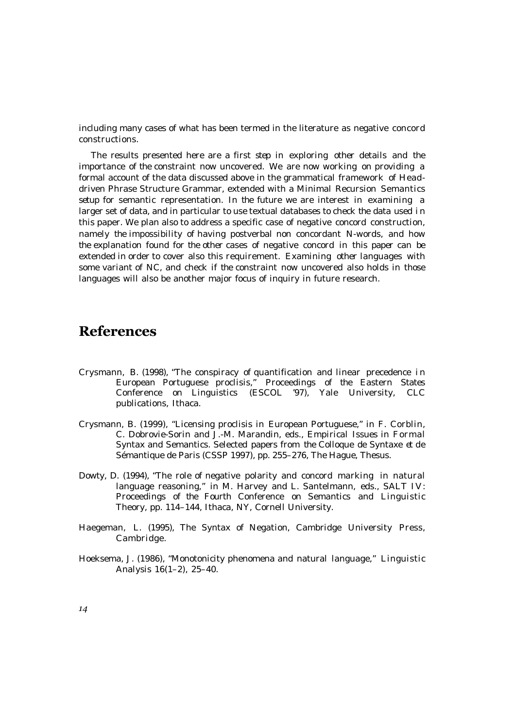including many cases of what has been termed in the literature as negative concord constructions.

The results presented here are a first step in exploring other details and the importance of the constraint now uncovered. We are now working on providing a formal account of the data discussed above in the grammatical framework of Headdriven Phrase Structure Grammar, extended with a Minimal Recursion Semantics setup for semantic representation. In the future we are interest in examining a larger set of data, and in particular to use textual databases to check the data used in this paper. We plan also to address a specific case of negative concord construction, namely the impossibility of having postverbal non concordant N-words, and how the explanation found for the other cases of negative concord in this paper can be extended in order to cover also this requirement. Examining other languages with some variant of NC, and check if the constraint now uncovered also holds in those languages will also be another major focus of inquiry in future research.

#### **References**

- Crysmann, B. (1998), "The conspiracy of quantification and linear precedence i n European Portuguese proclisis," Proceedings of the Eastern States Conference on Linguistics (ESCOL '97), Yale University, CLC publications, Ithaca.
- Crysmann, B. (1999), "Licensing proclisis in European Portuguese," in F. Corblin, C. Dobrovie-Sorin and J.-M. Marandin, eds., Empirical Issues in Formal Syntax and Semantics. Selected papers from the Colloque de Syntaxe et de Sémantique de Paris (CSSP 1997), pp. 255–276, The Hague, Thesus.
- Dowty, D. (1994), "The role of negative polarity and concord marking in natural language reasoning," in M. Harvey and L. Santelmann, eds., SALT IV: Proceedings of the Fourth Conference on Semantics and Linguistic Theory, pp. 114–144, Ithaca, NY, Cornell University.
- Haegeman, L. (1995), The Syntax of Negation, Cambridge University Press, Cambridge.
- Hoeksema, J. (1986), "Monotonicity phenomena and natural language," Linguistic Analysis 16(1–2), 25–40.